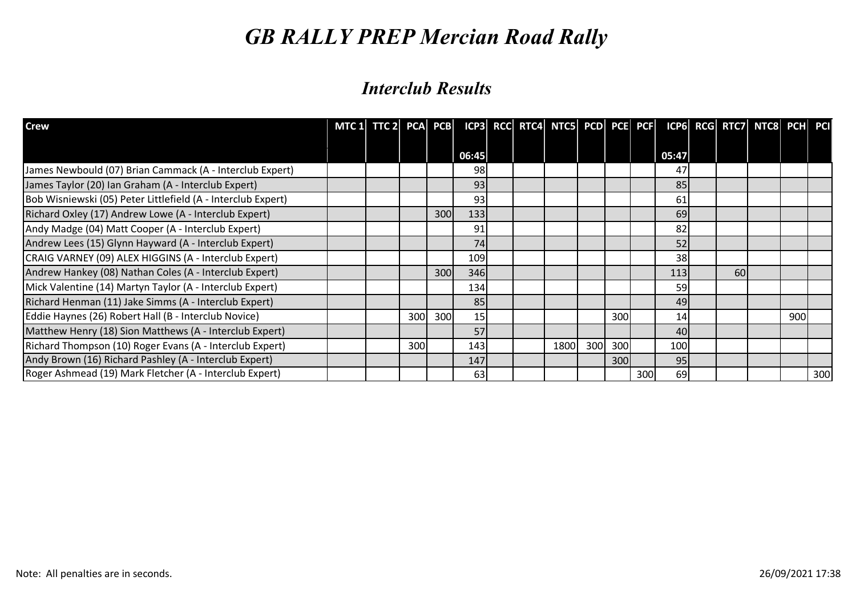| <b>Crew</b>                                                  | MTC 1 $TTC$ 2 PCA PCB |     |     |            |  | ICP3 RCC RTC4 NTC5 PCD PCE PCF |     |     |     |       |    | ICP6 RCG RTC7 NTC8 PCH PCI |     |     |
|--------------------------------------------------------------|-----------------------|-----|-----|------------|--|--------------------------------|-----|-----|-----|-------|----|----------------------------|-----|-----|
|                                                              |                       |     |     | 06:45      |  |                                |     |     |     | 05:47 |    |                            |     |     |
| James Newbould (07) Brian Cammack (A - Interclub Expert)     |                       |     |     | 98         |  |                                |     |     |     | 47    |    |                            |     |     |
| James Taylor (20) Ian Graham (A - Interclub Expert)          |                       |     |     | 93         |  |                                |     |     |     | 85    |    |                            |     |     |
| Bob Wisniewski (05) Peter Littlefield (A - Interclub Expert) |                       |     |     | 93         |  |                                |     |     |     | 61    |    |                            |     |     |
| Richard Oxley (17) Andrew Lowe (A - Interclub Expert)        |                       |     | 300 | 133        |  |                                |     |     |     | 69    |    |                            |     |     |
| Andy Madge (04) Matt Cooper (A - Interclub Expert)           |                       |     |     | 91         |  |                                |     |     |     | 82    |    |                            |     |     |
| Andrew Lees (15) Glynn Hayward (A - Interclub Expert)        |                       |     |     | 74         |  |                                |     |     |     | 52    |    |                            |     |     |
| CRAIG VARNEY (09) ALEX HIGGINS (A - Interclub Expert)        |                       |     |     | 109        |  |                                |     |     |     | 38    |    |                            |     |     |
| Andrew Hankey (08) Nathan Coles (A - Interclub Expert)       |                       |     | 300 | 346        |  |                                |     |     |     | 113   | 60 |                            |     |     |
| Mick Valentine (14) Martyn Taylor (A - Interclub Expert)     |                       |     |     | <b>134</b> |  |                                |     |     |     | 59    |    |                            |     |     |
| Richard Henman (11) Jake Simms (A - Interclub Expert)        |                       |     |     | 85         |  |                                |     |     |     | 49    |    |                            |     |     |
| Eddie Haynes (26) Robert Hall (B - Interclub Novice)         |                       | 300 | 300 | 15         |  |                                |     | 300 |     | 14    |    |                            | 900 |     |
| Matthew Henry (18) Sion Matthews (A - Interclub Expert)      |                       |     |     | 57         |  |                                |     |     |     | 40    |    |                            |     |     |
| Richard Thompson (10) Roger Evans (A - Interclub Expert)     |                       | 300 |     | 143        |  | 1800                           | 300 | 300 |     | 100   |    |                            |     |     |
| Andy Brown (16) Richard Pashley (A - Interclub Expert)       |                       |     |     | 147        |  |                                |     | 300 |     | 95    |    |                            |     |     |
| Roger Ashmead (19) Mark Fletcher (A - Interclub Expert)      |                       |     |     | 63         |  |                                |     |     | 300 | 69    |    |                            |     | 300 |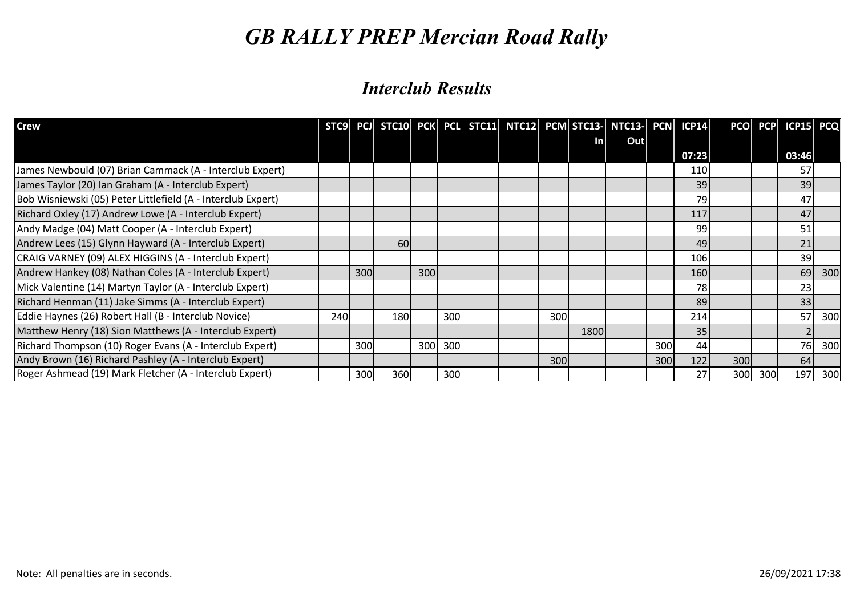| <b>Crew</b>                                                  |     |     |     |     |     |  |     |      | STC9 PCJ STC10 PCK PCL STC11 NTC12 PCM STC13- NTC13- PCN ICP14 |     |                  |     |     | PCO PCP ICP15 PCQ |     |
|--------------------------------------------------------------|-----|-----|-----|-----|-----|--|-----|------|----------------------------------------------------------------|-----|------------------|-----|-----|-------------------|-----|
|                                                              |     |     |     |     |     |  |     | Inl  | Out                                                            |     |                  |     |     |                   |     |
|                                                              |     |     |     |     |     |  |     |      |                                                                |     | 07:23            |     |     | 03:46             |     |
| James Newbould (07) Brian Cammack (A - Interclub Expert)     |     |     |     |     |     |  |     |      |                                                                |     | 110              |     |     | 57                |     |
| James Taylor (20) Ian Graham (A - Interclub Expert)          |     |     |     |     |     |  |     |      |                                                                |     | 39               |     |     | 39                |     |
| Bob Wisniewski (05) Peter Littlefield (A - Interclub Expert) |     |     |     |     |     |  |     |      |                                                                |     | 79               |     |     | 47                |     |
| Richard Oxley (17) Andrew Lowe (A - Interclub Expert)        |     |     |     |     |     |  |     |      |                                                                |     | 117              |     |     | 47                |     |
| Andy Madge (04) Matt Cooper (A - Interclub Expert)           |     |     |     |     |     |  |     |      |                                                                |     | 99               |     |     | 51                |     |
| Andrew Lees (15) Glynn Hayward (A - Interclub Expert)        |     |     | 60  |     |     |  |     |      |                                                                |     | 49               |     |     | 21                |     |
| CRAIG VARNEY (09) ALEX HIGGINS (A - Interclub Expert)        |     |     |     |     |     |  |     |      |                                                                |     | 106 <sub>l</sub> |     |     | 39                |     |
| Andrew Hankey (08) Nathan Coles (A - Interclub Expert)       |     | 300 |     | 300 |     |  |     |      |                                                                |     | <b>160</b>       |     |     | 69                | 300 |
| Mick Valentine (14) Martyn Taylor (A - Interclub Expert)     |     |     |     |     |     |  |     |      |                                                                |     | 78I              |     |     | 23                |     |
| Richard Henman (11) Jake Simms (A - Interclub Expert)        |     |     |     |     |     |  |     |      |                                                                |     | 89               |     |     | 33                |     |
| Eddie Haynes (26) Robert Hall (B - Interclub Novice)         | 240 |     | 180 |     | 300 |  | 300 |      |                                                                |     | 214              |     |     | 57                | 300 |
| Matthew Henry (18) Sion Matthews (A - Interclub Expert)      |     |     |     |     |     |  |     | 1800 |                                                                |     | 35 <sub>1</sub>  |     |     | $\overline{2}$    |     |
| Richard Thompson (10) Roger Evans (A - Interclub Expert)     |     | 300 |     | 300 | 300 |  |     |      |                                                                | 300 | 44               |     |     | 76                | 300 |
| Andy Brown (16) Richard Pashley (A - Interclub Expert)       |     |     |     |     |     |  | 300 |      |                                                                | 300 | 122              | 300 |     | 64                |     |
| Roger Ashmead (19) Mark Fletcher (A - Interclub Expert)      |     | 300 | 360 |     | 300 |  |     |      |                                                                |     | 27               | 300 | 300 | 197               | 300 |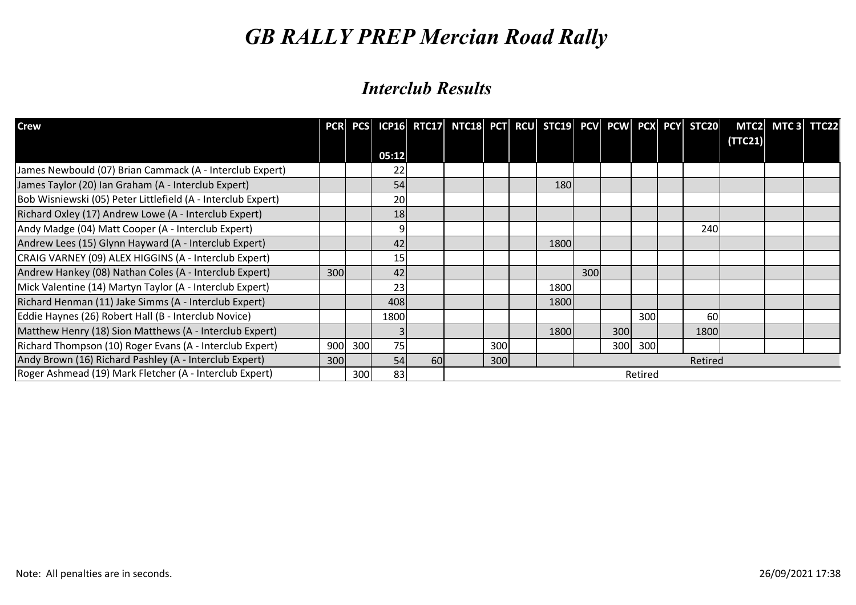| <b>Crew</b>                                                  |      |     |                 |           | PCR PCS ICP16 RTC17 NTC18 PCT RCU STC19 PCV PCW PCX PCY STC20 |     |      |     |     |         |         |         | MTC2 MTC3 TTC22 |  |
|--------------------------------------------------------------|------|-----|-----------------|-----------|---------------------------------------------------------------|-----|------|-----|-----|---------|---------|---------|-----------------|--|
|                                                              |      |     | 05:12           |           |                                                               |     |      |     |     |         |         | (TTC21) |                 |  |
| James Newbould (07) Brian Cammack (A - Interclub Expert)     |      |     | 22              |           |                                                               |     |      |     |     |         |         |         |                 |  |
| James Taylor (20) Ian Graham (A - Interclub Expert)          |      |     | 54              |           |                                                               |     | 180  |     |     |         |         |         |                 |  |
| Bob Wisniewski (05) Peter Littlefield (A - Interclub Expert) |      |     | 20              |           |                                                               |     |      |     |     |         |         |         |                 |  |
| Richard Oxley (17) Andrew Lowe (A - Interclub Expert)        |      |     | 18              |           |                                                               |     |      |     |     |         |         |         |                 |  |
| Andy Madge (04) Matt Cooper (A - Interclub Expert)           |      |     | 91              |           |                                                               |     |      |     |     |         | 240     |         |                 |  |
| Andrew Lees (15) Glynn Hayward (A - Interclub Expert)        |      |     | 42              |           |                                                               |     | 1800 |     |     |         |         |         |                 |  |
| CRAIG VARNEY (09) ALEX HIGGINS (A - Interclub Expert)        |      |     | 15 <sub>l</sub> |           |                                                               |     |      |     |     |         |         |         |                 |  |
| Andrew Hankey (08) Nathan Coles (A - Interclub Expert)       | 300l |     | 42              |           |                                                               |     |      | 300 |     |         |         |         |                 |  |
| Mick Valentine (14) Martyn Taylor (A - Interclub Expert)     |      |     | 23              |           |                                                               |     | 1800 |     |     |         |         |         |                 |  |
| Richard Henman (11) Jake Simms (A - Interclub Expert)        |      |     | 408             |           |                                                               |     | 1800 |     |     |         |         |         |                 |  |
| Eddie Haynes (26) Robert Hall (B - Interclub Novice)         |      |     | 1800            |           |                                                               |     |      |     |     | 300     | 60      |         |                 |  |
| Matthew Henry (18) Sion Matthews (A - Interclub Expert)      |      |     |                 |           |                                                               |     | 1800 |     | 300 |         | 1800    |         |                 |  |
| Richard Thompson (10) Roger Evans (A - Interclub Expert)     | 900  | 300 | 75              |           |                                                               | 300 |      |     | 300 | 300     |         |         |                 |  |
| Andy Brown (16) Richard Pashley (A - Interclub Expert)       | 300  |     | 54              | <b>60</b> |                                                               | 300 |      |     |     |         | Retired |         |                 |  |
| Roger Ashmead (19) Mark Fletcher (A - Interclub Expert)      |      | 300 | 83              |           |                                                               |     |      |     |     | Retired |         |         |                 |  |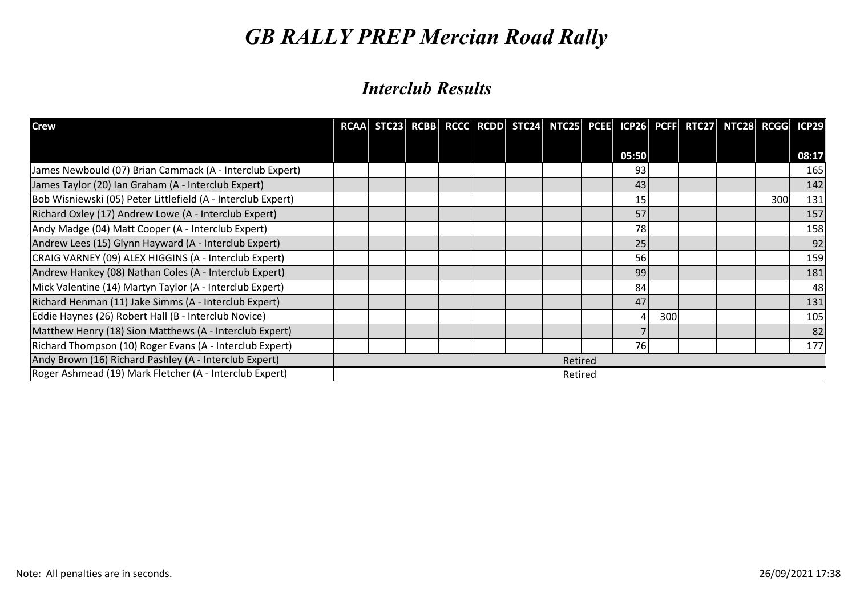| <b>Crew</b>                                                  | <b>RCAA</b> |  |  | STC23 RCBB RCCC RCDD STC24 NTC25 PCEE ICP26 PCFF RTC27 NTC28 RCGG ICP29 |       |     |  |     |       |
|--------------------------------------------------------------|-------------|--|--|-------------------------------------------------------------------------|-------|-----|--|-----|-------|
|                                                              |             |  |  |                                                                         | 05:50 |     |  |     | 08:17 |
| James Newbould (07) Brian Cammack (A - Interclub Expert)     |             |  |  |                                                                         | 93    |     |  |     | 165   |
| James Taylor (20) Ian Graham (A - Interclub Expert)          |             |  |  |                                                                         | 43    |     |  |     | 142   |
| Bob Wisniewski (05) Peter Littlefield (A - Interclub Expert) |             |  |  |                                                                         | 15    |     |  | 300 | 131   |
| Richard Oxley (17) Andrew Lowe (A - Interclub Expert)        |             |  |  |                                                                         | 57    |     |  |     | 157   |
| Andy Madge (04) Matt Cooper (A - Interclub Expert)           |             |  |  |                                                                         | 78    |     |  |     | 158   |
| Andrew Lees (15) Glynn Hayward (A - Interclub Expert)        |             |  |  |                                                                         | 25    |     |  |     | 92    |
| CRAIG VARNEY (09) ALEX HIGGINS (A - Interclub Expert)        |             |  |  |                                                                         | 56    |     |  |     | 159   |
| Andrew Hankey (08) Nathan Coles (A - Interclub Expert)       |             |  |  |                                                                         | 99    |     |  |     | 181   |
| Mick Valentine (14) Martyn Taylor (A - Interclub Expert)     |             |  |  |                                                                         | 84    |     |  |     | 48    |
| Richard Henman (11) Jake Simms (A - Interclub Expert)        |             |  |  |                                                                         | 47    |     |  |     | 131   |
| Eddie Haynes (26) Robert Hall (B - Interclub Novice)         |             |  |  |                                                                         | 4     | 300 |  |     | 105   |
| Matthew Henry (18) Sion Matthews (A - Interclub Expert)      |             |  |  |                                                                         |       |     |  |     | 82    |
| Richard Thompson (10) Roger Evans (A - Interclub Expert)     |             |  |  |                                                                         | 76    |     |  |     | 177   |
| Andy Brown (16) Richard Pashley (A - Interclub Expert)       |             |  |  | Retired                                                                 |       |     |  |     |       |
| Roger Ashmead (19) Mark Fletcher (A - Interclub Expert)      |             |  |  | Retired                                                                 |       |     |  |     |       |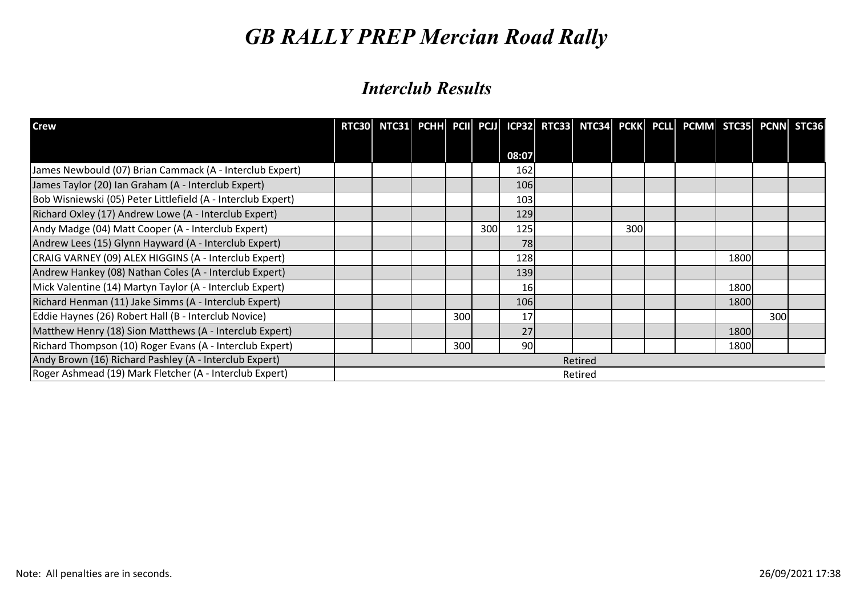| <b>Crew</b>                                                  |  |     |     |       |         |     | RTC30 NTC31 PCHH PCII PCJI ICP32 RTC33 NTC34 PCKK PCLL PCMM STC35 PCNN STC36 |      |     |  |
|--------------------------------------------------------------|--|-----|-----|-------|---------|-----|------------------------------------------------------------------------------|------|-----|--|
|                                                              |  |     |     | 08:07 |         |     |                                                                              |      |     |  |
| James Newbould (07) Brian Cammack (A - Interclub Expert)     |  |     |     | 162   |         |     |                                                                              |      |     |  |
| James Taylor (20) Ian Graham (A - Interclub Expert)          |  |     |     | 106   |         |     |                                                                              |      |     |  |
| Bob Wisniewski (05) Peter Littlefield (A - Interclub Expert) |  |     |     | 103   |         |     |                                                                              |      |     |  |
| Richard Oxley (17) Andrew Lowe (A - Interclub Expert)        |  |     |     | 129   |         |     |                                                                              |      |     |  |
| Andy Madge (04) Matt Cooper (A - Interclub Expert)           |  |     | 300 | 125   |         | 300 |                                                                              |      |     |  |
| Andrew Lees (15) Glynn Hayward (A - Interclub Expert)        |  |     |     | 78    |         |     |                                                                              |      |     |  |
| CRAIG VARNEY (09) ALEX HIGGINS (A - Interclub Expert)        |  |     |     | 128   |         |     |                                                                              | 1800 |     |  |
| Andrew Hankey (08) Nathan Coles (A - Interclub Expert)       |  |     |     | 139   |         |     |                                                                              |      |     |  |
| Mick Valentine (14) Martyn Taylor (A - Interclub Expert)     |  |     |     | 16    |         |     |                                                                              | 1800 |     |  |
| Richard Henman (11) Jake Simms (A - Interclub Expert)        |  |     |     | 106   |         |     |                                                                              | 1800 |     |  |
| Eddie Haynes (26) Robert Hall (B - Interclub Novice)         |  | 300 |     | 17    |         |     |                                                                              |      | 300 |  |
| Matthew Henry (18) Sion Matthews (A - Interclub Expert)      |  |     |     | 27    |         |     |                                                                              | 1800 |     |  |
| Richard Thompson (10) Roger Evans (A - Interclub Expert)     |  | 300 |     | 90    |         |     |                                                                              | 1800 |     |  |
| Andy Brown (16) Richard Pashley (A - Interclub Expert)       |  |     |     |       | Retired |     |                                                                              |      |     |  |
| Roger Ashmead (19) Mark Fletcher (A - Interclub Expert)      |  |     |     |       | Retired |     |                                                                              |      |     |  |